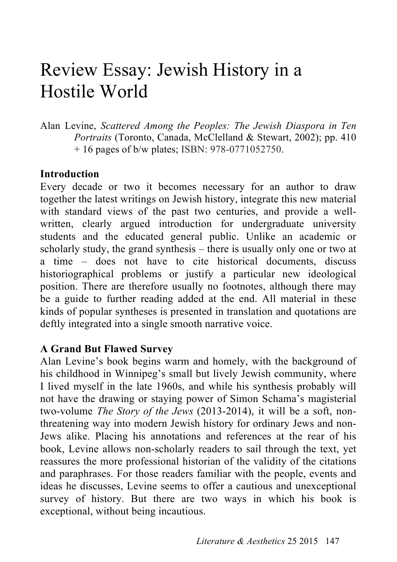## Review Essay: Jewish History in a Hostile World

Alan Levine, *Scattered Among the Peoples: The Jewish Diaspora in Ten Portraits* (Toronto, Canada, McClelland & Stewart, 2002); pp. 410 + 16 pages of b/w plates; ISBN: 978-0771052750.

## **Introduction**

Every decade or two it becomes necessary for an author to draw together the latest writings on Jewish history, integrate this new material with standard views of the past two centuries, and provide a wellwritten, clearly argued introduction for undergraduate university students and the educated general public. Unlike an academic or scholarly study, the grand synthesis – there is usually only one or two at a time – does not have to cite historical documents, discuss historiographical problems or justify a particular new ideological position. There are therefore usually no footnotes, although there may be a guide to further reading added at the end. All material in these kinds of popular syntheses is presented in translation and quotations are deftly integrated into a single smooth narrative voice.

## **A Grand But Flawed Survey**

Alan Levine's book begins warm and homely, with the background of his childhood in Winnipeg's small but lively Jewish community, where I lived myself in the late 1960s, and while his synthesis probably will not have the drawing or staying power of Simon Schama's magisterial two-volume *The Story of the Jews* (2013-2014), it will be a soft, nonthreatening way into modern Jewish history for ordinary Jews and non-Jews alike. Placing his annotations and references at the rear of his book, Levine allows non-scholarly readers to sail through the text, yet reassures the more professional historian of the validity of the citations and paraphrases. For those readers familiar with the people, events and ideas he discusses, Levine seems to offer a cautious and unexceptional survey of history. But there are two ways in which his book is exceptional, without being incautious.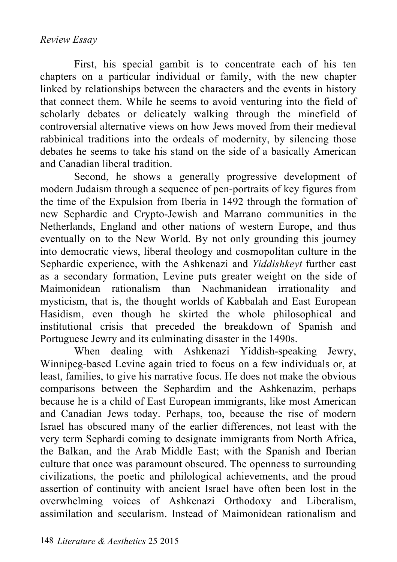First, his special gambit is to concentrate each of his ten chapters on a particular individual or family, with the new chapter linked by relationships between the characters and the events in history that connect them. While he seems to avoid venturing into the field of scholarly debates or delicately walking through the minefield of controversial alternative views on how Jews moved from their medieval rabbinical traditions into the ordeals of modernity, by silencing those debates he seems to take his stand on the side of a basically American and Canadian liberal tradition.

Second, he shows a generally progressive development of modern Judaism through a sequence of pen-portraits of key figures from the time of the Expulsion from Iberia in 1492 through the formation of new Sephardic and Crypto-Jewish and Marrano communities in the Netherlands, England and other nations of western Europe, and thus eventually on to the New World. By not only grounding this journey into democratic views, liberal theology and cosmopolitan culture in the Sephardic experience, with the Ashkenazi and *Yiddishkeyt* further east as a secondary formation, Levine puts greater weight on the side of Maimonidean rationalism than Nachmanidean irrationality and mysticism, that is, the thought worlds of Kabbalah and East European Hasidism, even though he skirted the whole philosophical and institutional crisis that preceded the breakdown of Spanish and Portuguese Jewry and its culminating disaster in the 1490s.

When dealing with Ashkenazi Yiddish-speaking Jewry, Winnipeg-based Levine again tried to focus on a few individuals or, at least, families, to give his narrative focus. He does not make the obvious comparisons between the Sephardim and the Ashkenazim, perhaps because he is a child of East European immigrants, like most American and Canadian Jews today. Perhaps, too, because the rise of modern Israel has obscured many of the earlier differences, not least with the very term Sephardi coming to designate immigrants from North Africa, the Balkan, and the Arab Middle East; with the Spanish and Iberian culture that once was paramount obscured. The openness to surrounding civilizations, the poetic and philological achievements, and the proud assertion of continuity with ancient Israel have often been lost in the overwhelming voices of Ashkenazi Orthodoxy and Liberalism, assimilation and secularism. Instead of Maimonidean rationalism and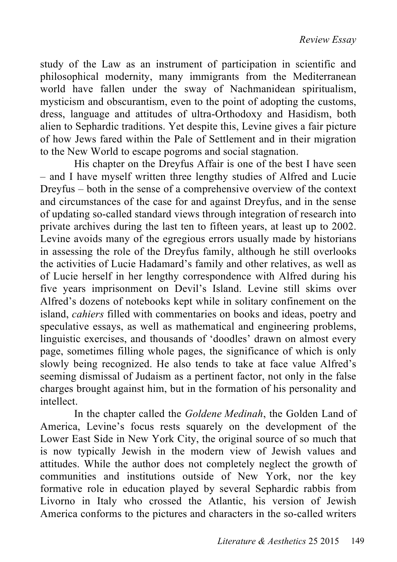study of the Law as an instrument of participation in scientific and philosophical modernity, many immigrants from the Mediterranean world have fallen under the sway of Nachmanidean spiritualism, mysticism and obscurantism, even to the point of adopting the customs, dress, language and attitudes of ultra-Orthodoxy and Hasidism, both alien to Sephardic traditions. Yet despite this, Levine gives a fair picture of how Jews fared within the Pale of Settlement and in their migration to the New World to escape pogroms and social stagnation.

His chapter on the Dreyfus Affair is one of the best I have seen – and I have myself written three lengthy studies of Alfred and Lucie Dreyfus – both in the sense of a comprehensive overview of the context and circumstances of the case for and against Dreyfus, and in the sense of updating so-called standard views through integration of research into private archives during the last ten to fifteen years, at least up to 2002. Levine avoids many of the egregious errors usually made by historians in assessing the role of the Dreyfus family, although he still overlooks the activities of Lucie Hadamard's family and other relatives, as well as of Lucie herself in her lengthy correspondence with Alfred during his five years imprisonment on Devil's Island. Levine still skims over Alfred's dozens of notebooks kept while in solitary confinement on the island, *cahiers* filled with commentaries on books and ideas, poetry and speculative essays, as well as mathematical and engineering problems, linguistic exercises, and thousands of 'doodles' drawn on almost every page, sometimes filling whole pages, the significance of which is only slowly being recognized. He also tends to take at face value Alfred's seeming dismissal of Judaism as a pertinent factor, not only in the false charges brought against him, but in the formation of his personality and intellect.

In the chapter called the *Goldene Medinah*, the Golden Land of America, Levine's focus rests squarely on the development of the Lower East Side in New York City, the original source of so much that is now typically Jewish in the modern view of Jewish values and attitudes. While the author does not completely neglect the growth of communities and institutions outside of New York, nor the key formative role in education played by several Sephardic rabbis from Livorno in Italy who crossed the Atlantic, his version of Jewish America conforms to the pictures and characters in the so-called writers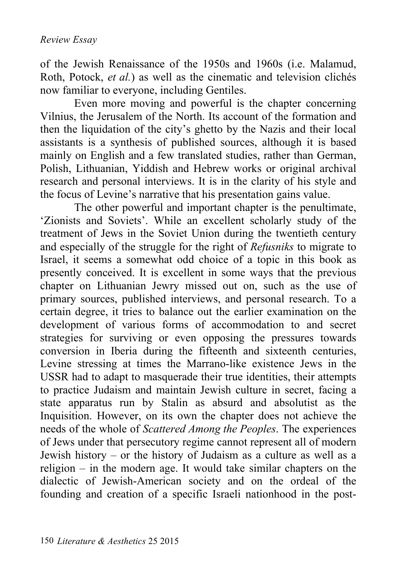of the Jewish Renaissance of the 1950s and 1960s (i.e. Malamud, Roth, Potock, *et al.*) as well as the cinematic and television clichés now familiar to everyone, including Gentiles.

Even more moving and powerful is the chapter concerning Vilnius, the Jerusalem of the North. Its account of the formation and then the liquidation of the city's ghetto by the Nazis and their local assistants is a synthesis of published sources, although it is based mainly on English and a few translated studies, rather than German, Polish, Lithuanian, Yiddish and Hebrew works or original archival research and personal interviews. It is in the clarity of his style and the focus of Levine's narrative that his presentation gains value.

The other powerful and important chapter is the penultimate, 'Zionists and Soviets'. While an excellent scholarly study of the treatment of Jews in the Soviet Union during the twentieth century and especially of the struggle for the right of *Refusniks* to migrate to Israel, it seems a somewhat odd choice of a topic in this book as presently conceived. It is excellent in some ways that the previous chapter on Lithuanian Jewry missed out on, such as the use of primary sources, published interviews, and personal research. To a certain degree, it tries to balance out the earlier examination on the development of various forms of accommodation to and secret strategies for surviving or even opposing the pressures towards conversion in Iberia during the fifteenth and sixteenth centuries, Levine stressing at times the Marrano-like existence Jews in the USSR had to adapt to masquerade their true identities, their attempts to practice Judaism and maintain Jewish culture in secret, facing a state apparatus run by Stalin as absurd and absolutist as the Inquisition. However, on its own the chapter does not achieve the needs of the whole of *Scattered Among the Peoples*. The experiences of Jews under that persecutory regime cannot represent all of modern Jewish history – or the history of Judaism as a culture as well as a religion – in the modern age. It would take similar chapters on the dialectic of Jewish-American society and on the ordeal of the founding and creation of a specific Israeli nationhood in the post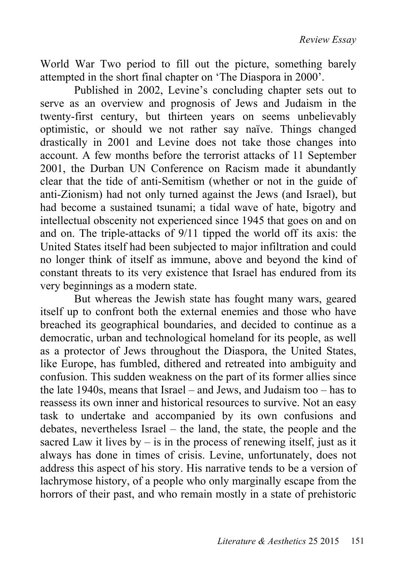World War Two period to fill out the picture, something barely attempted in the short final chapter on 'The Diaspora in 2000'.

Published in 2002, Levine's concluding chapter sets out to serve as an overview and prognosis of Jews and Judaism in the twenty-first century, but thirteen years on seems unbelievably optimistic, or should we not rather say naïve. Things changed drastically in 2001 and Levine does not take those changes into account. A few months before the terrorist attacks of 11 September 2001, the Durban UN Conference on Racism made it abundantly clear that the tide of anti-Semitism (whether or not in the guide of anti-Zionism) had not only turned against the Jews (and Israel), but had become a sustained tsunami; a tidal wave of hate, bigotry and intellectual obscenity not experienced since 1945 that goes on and on and on. The triple-attacks of 9/11 tipped the world off its axis: the United States itself had been subjected to major infiltration and could no longer think of itself as immune, above and beyond the kind of constant threats to its very existence that Israel has endured from its very beginnings as a modern state.

But whereas the Jewish state has fought many wars, geared itself up to confront both the external enemies and those who have breached its geographical boundaries, and decided to continue as a democratic, urban and technological homeland for its people, as well as a protector of Jews throughout the Diaspora, the United States, like Europe, has fumbled, dithered and retreated into ambiguity and confusion. This sudden weakness on the part of its former allies since the late 1940s, means that Israel – and Jews, and Judaism too – has to reassess its own inner and historical resources to survive. Not an easy task to undertake and accompanied by its own confusions and debates, nevertheless Israel – the land, the state, the people and the sacred Law it lives  $by - is$  in the process of renewing itself, just as it always has done in times of crisis. Levine, unfortunately, does not address this aspect of his story. His narrative tends to be a version of lachrymose history, of a people who only marginally escape from the horrors of their past, and who remain mostly in a state of prehistoric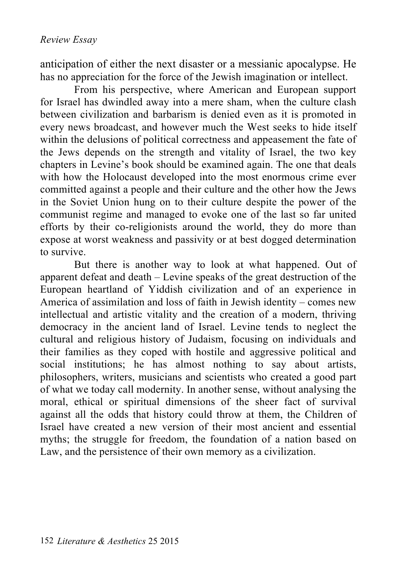anticipation of either the next disaster or a messianic apocalypse. He has no appreciation for the force of the Jewish imagination or intellect.

From his perspective, where American and European support for Israel has dwindled away into a mere sham, when the culture clash between civilization and barbarism is denied even as it is promoted in every news broadcast, and however much the West seeks to hide itself within the delusions of political correctness and appeasement the fate of the Jews depends on the strength and vitality of Israel, the two key chapters in Levine's book should be examined again. The one that deals with how the Holocaust developed into the most enormous crime ever committed against a people and their culture and the other how the Jews in the Soviet Union hung on to their culture despite the power of the communist regime and managed to evoke one of the last so far united efforts by their co-religionists around the world, they do more than expose at worst weakness and passivity or at best dogged determination to survive.

But there is another way to look at what happened. Out of apparent defeat and death – Levine speaks of the great destruction of the European heartland of Yiddish civilization and of an experience in America of assimilation and loss of faith in Jewish identity – comes new intellectual and artistic vitality and the creation of a modern, thriving democracy in the ancient land of Israel. Levine tends to neglect the cultural and religious history of Judaism, focusing on individuals and their families as they coped with hostile and aggressive political and social institutions; he has almost nothing to say about artists, philosophers, writers, musicians and scientists who created a good part of what we today call modernity. In another sense, without analysing the moral, ethical or spiritual dimensions of the sheer fact of survival against all the odds that history could throw at them, the Children of Israel have created a new version of their most ancient and essential myths; the struggle for freedom, the foundation of a nation based on Law, and the persistence of their own memory as a civilization.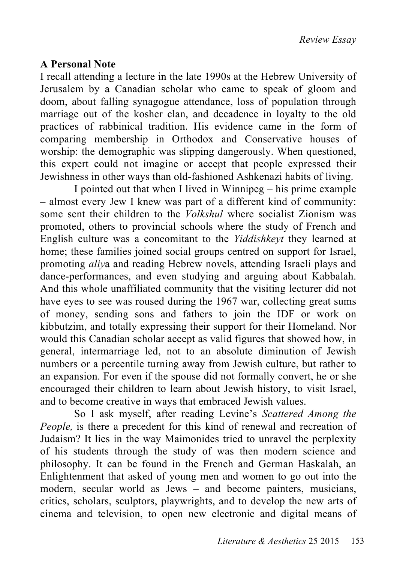## **A Personal Note**

I recall attending a lecture in the late 1990s at the Hebrew University of Jerusalem by a Canadian scholar who came to speak of gloom and doom, about falling synagogue attendance, loss of population through marriage out of the kosher clan, and decadence in loyalty to the old practices of rabbinical tradition. His evidence came in the form of comparing membership in Orthodox and Conservative houses of worship: the demographic was slipping dangerously. When questioned, this expert could not imagine or accept that people expressed their Jewishness in other ways than old-fashioned Ashkenazi habits of living.

I pointed out that when I lived in Winnipeg – his prime example – almost every Jew I knew was part of a different kind of community: some sent their children to the *Volkshul* where socialist Zionism was promoted, others to provincial schools where the study of French and English culture was a concomitant to the *Yiddishkeyt* they learned at home; these families joined social groups centred on support for Israel, promoting *aliy*a and reading Hebrew novels, attending Israeli plays and dance-performances, and even studying and arguing about Kabbalah. And this whole unaffiliated community that the visiting lecturer did not have eyes to see was roused during the 1967 war, collecting great sums of money, sending sons and fathers to join the IDF or work on kibbutzim, and totally expressing their support for their Homeland. Nor would this Canadian scholar accept as valid figures that showed how, in general, intermarriage led, not to an absolute diminution of Jewish numbers or a percentile turning away from Jewish culture, but rather to an expansion. For even if the spouse did not formally convert, he or she encouraged their children to learn about Jewish history, to visit Israel, and to become creative in ways that embraced Jewish values.

So I ask myself, after reading Levine's *Scattered Among the People,* is there a precedent for this kind of renewal and recreation of Judaism? It lies in the way Maimonides tried to unravel the perplexity of his students through the study of was then modern science and philosophy. It can be found in the French and German Haskalah, an Enlightenment that asked of young men and women to go out into the modern, secular world as Jews – and become painters, musicians, critics, scholars, sculptors, playwrights, and to develop the new arts of cinema and television, to open new electronic and digital means of